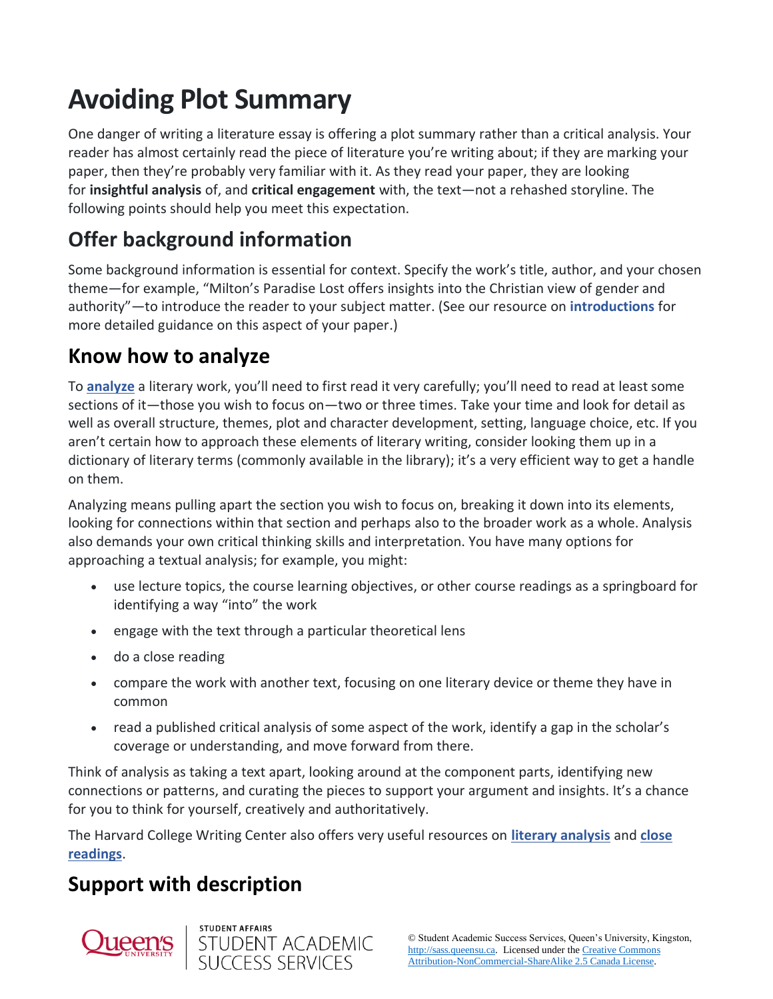# **Avoiding Plot Summary**

One danger of writing a literature essay is offering a plot summary rather than a critical analysis. Your reader has almost certainly read the piece of literature you're writing about; if they are marking your paper, then they're probably very familiar with it. As they read your paper, they are looking for **insightful analysis** of, and **critical engagement** with, the text—not a rehashed storyline. The following points should help you meet this expectation.

# **Offer background information**

Some background information is essential for context. Specify the work's title, author, and your chosen theme—for example, "Milton's Paradise Lost offers insights into the Christian view of gender and authority"—to introduce the reader to your subject matter. (See our resource on **[introductions](http://sass.queensu.ca/onlineresource/topics/essay-introductions-and-conclusions/)** for more detailed guidance on this aspect of your paper.)

#### **Know how to analyze**

To **[analyze](http://sass.queensu.ca/onlineresource/topics/common-assignment-terminology/)** a literary work, you'll need to first read it very carefully; you'll need to read at least some sections of it—those you wish to focus on—two or three times. Take your time and look for detail as well as overall structure, themes, plot and character development, setting, language choice, etc. If you aren't certain how to approach these elements of literary writing, consider looking them up in a dictionary of literary terms (commonly available in the library); it's a very efficient way to get a handle on them.

Analyzing means pulling apart the section you wish to focus on, breaking it down into its elements, looking for connections within that section and perhaps also to the broader work as a whole. Analysis also demands your own critical thinking skills and interpretation. You have many options for approaching a textual analysis; for example, you might:

- use lecture topics, the course learning objectives, or other course readings as a springboard for identifying a way "into" the work
- engage with the text through a particular theoretical lens
- do a close reading
- compare the work with another text, focusing on one literary device or theme they have in common
- read a published critical analysis of some aspect of the work, identify a gap in the scholar's coverage or understanding, and move forward from there.

Think of analysis as taking a text apart, looking around at the component parts, identifying new connections or patterns, and curating the pieces to support your argument and insights. It's a chance for you to think for yourself, creatively and authoritatively.

The Harvard College Writing Center also offers very useful resources on **[literary analysis](https://hwpi.harvard.edu/files/hwp/files/bg_writing_english.pdf)** and **[close](https://writingcenter.fas.harvard.edu/pages/how-do-close-reading)  [readings](https://writingcenter.fas.harvard.edu/pages/how-do-close-reading)**.

## **Support with description**